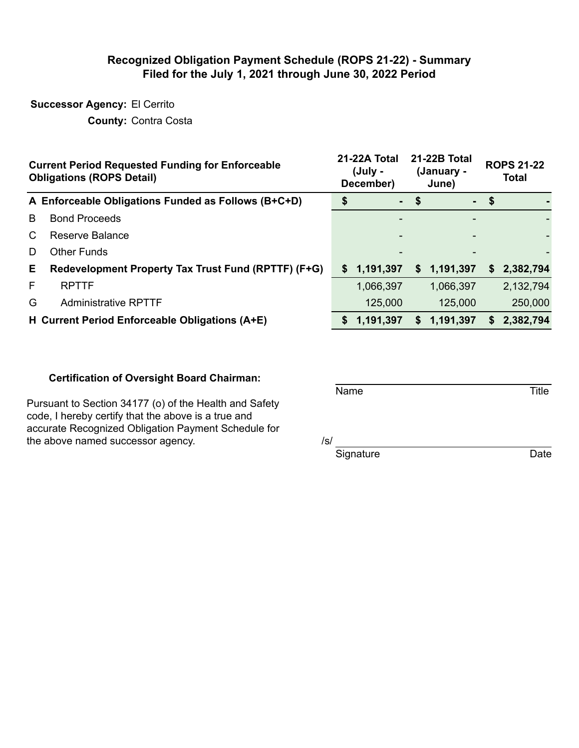#### **Recognized Obligation Payment Schedule (ROPS 21-22) - Summary Filed for the July 1, 2021 through June 30, 2022 Period**

## **Successor Agency:** El Cerrito

**County:** Contra Costa

|    | <b>Current Period Requested Funding for Enforceable</b><br><b>Obligations (ROPS Detail)</b> |    | 21-22A Total<br>(July -<br>December) |                           | <b>21-22B Total</b><br>(January -<br>June) | <b>ROPS 21-22</b><br><b>Total</b> |           |
|----|---------------------------------------------------------------------------------------------|----|--------------------------------------|---------------------------|--------------------------------------------|-----------------------------------|-----------|
|    | A Enforceable Obligations Funded as Follows (B+C+D)                                         |    | $\sim$                               | $\boldsymbol{\mathsf{s}}$ |                                            | $-$ \$                            |           |
| B  | <b>Bond Proceeds</b>                                                                        |    |                                      |                           |                                            |                                   |           |
| C. | Reserve Balance                                                                             |    |                                      |                           |                                            |                                   |           |
| D  | <b>Other Funds</b>                                                                          |    |                                      |                           |                                            |                                   |           |
| E. | Redevelopment Property Tax Trust Fund (RPTTF) (F+G)                                         | S. | 1,191,397                            | S.                        | 1,191,397                                  | S.                                | 2,382,794 |
| F  | <b>RPTTF</b>                                                                                |    | 1,066,397                            |                           | 1,066,397                                  |                                   | 2,132,794 |
| G  | <b>Administrative RPTTF</b>                                                                 |    | 125,000                              |                           | 125,000                                    |                                   | 250,000   |
|    | H Current Period Enforceable Obligations (A+E)                                              | S. | 1,191,397                            | S                         | 1,191,397                                  | S.                                | 2,382,794 |

#### **Certification of Oversight Board Chairman:**

Pursuant to Section 34177 (o) of the Health and Safety code, I hereby certify that the above is a true and accurate Recognized Obligation Payment Schedule for the above named successor agency.  $/ s / s$ 

Name Title

Signature Date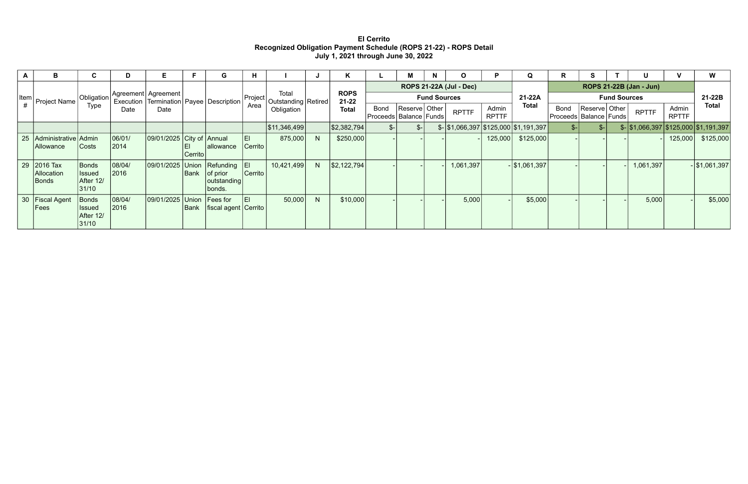### **El Cerrito Recognized Obligation Payment Schedule (ROPS 21-22) - ROPS Detail July 1, 2021 through June 30, 2022**

| A  | B.                                       | U.                                           | D                                      | Е.                             |         | G                                            | H.            |                                               |      | K           |                                | м    |  | O         | Р       | Q                                                    | n.                      | S.                                    |  | U.                                                 |                                           | W               |                     |              |                       |                          |                                           |               |                     |
|----|------------------------------------------|----------------------------------------------|----------------------------------------|--------------------------------|---------|----------------------------------------------|---------------|-----------------------------------------------|------|-------------|--------------------------------|------|--|-----------|---------|------------------------------------------------------|-------------------------|---------------------------------------|--|----------------------------------------------------|-------------------------------------------|-----------------|---------------------|--------------|-----------------------|--------------------------|-------------------------------------------|---------------|---------------------|
|    |                                          | Type                                         | Obligation Agreement Agreement<br>Date |                                |         |                                              |               | Total                                         |      | <b>ROPS</b> | <b>ROPS 21-22A (Jul - Dec)</b> |      |  |           |         |                                                      | ROPS 21-22B (Jan - Jun) |                                       |  |                                                    |                                           |                 |                     |              |                       |                          |                                           |               |                     |
|    | Item   Project Name I ~                  |                                              |                                        |                                |         |                                              |               | Execution   Termination   Payee   Description | Date |             |                                |      |  |           |         |                                                      | Project<br>Area         | Outstanding   Retired  <br>Obligation |  | $21 - 22$<br><b>Total</b>                          | <b>Bond</b><br>Proceeds   Balance   Funds | Reserve   Other | <b>Fund Sources</b> | <b>RPTTF</b> | Admin<br><b>RPTTF</b> | $21-22A$<br><b>Total</b> | <b>Bond</b><br>Proceeds   Balance   Funds | Reserve Other | <b>Fund Sources</b> |
|    |                                          |                                              |                                        |                                |         |                                              |               | \$11,346,499                                  |      | \$2,382,794 |                                | $S-$ |  |           |         | $\frac{1}{2}$ \\$1,066,397 \\$125,000 \\$1,191,397 \ |                         |                                       |  | $\frac{1}{2}$ \\$1,066,397 \\$125,000 \\$1,191,397 |                                           |                 |                     |              |                       |                          |                                           |               |                     |
| 25 | Administrative Admin<br><b>Allowance</b> | Costs                                        | 06/01/<br>2014                         | $ 09/01/2025 $ City of Annual  | Cerrito | allowance                                    | EI<br>Cerrito | 875,000                                       | N    | \$250,000   |                                |      |  |           | 125,000 | \$125,000                                            |                         |                                       |  |                                                    | 125,000                                   | \$125,000       |                     |              |                       |                          |                                           |               |                     |
| 29 | $2016$ Tax<br>Allocation<br><b>Bonds</b> | Bonds<br><b>Issued</b><br>After 12/<br>31/10 | 08/04/<br>2016                         | $ 09/01/2025 $ Union Refunding | Bank    | $ $ of prior<br> outstanding <br>bonds.      | E<br> Cerrito | 10,421,499                                    | N    | \$2,122,794 |                                |      |  | 1,061,397 |         | $-$ \$1,061,397                                      |                         |                                       |  | 1,061,397                                          |                                           | $-$ \$1,061,397 |                     |              |                       |                          |                                           |               |                     |
|    | 30 Fiscal Agent<br>Fees                  | Bonds<br><b>Issued</b><br>After 12/<br>31/10 | 08/04/<br>2016                         | 09/01/2025 Union               | Bank    | $\vert$ Fees for<br>  fiscal agent   Cerrito | ΕI            | 50,000                                        | N    | \$10,000    |                                |      |  | 5,000     |         | \$5,000                                              |                         |                                       |  | 5,000                                              |                                           | \$5,000         |                     |              |                       |                          |                                           |               |                     |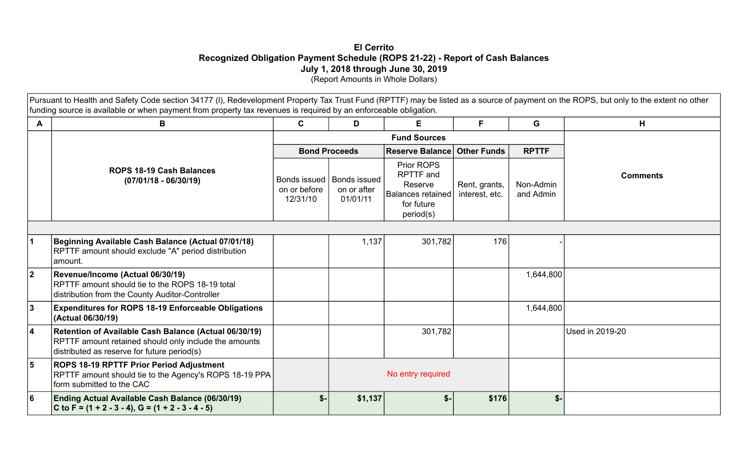### **El Cerrito Recognized Obligation Payment Schedule (ROPS 21-22) - Report of Cash Balances July 1, 2018 through June 30, 2019**  (Report Amounts in Whole Dollars)

Pursuant to Health and Safety Code section 34177 (I), Redevelopment Property Tax Trust Fund (RPTTF) may be listed as a source of payment on the ROPS, but only to the extent no other funding source is available or when payment from property tax revenues is required by an enforceable obligation.

| A           | В                                                                                                                                                             | $\mathbf{C}$                             | D                                              | E                                                                                         | F.                              | G                      | H                      |  |  |
|-------------|---------------------------------------------------------------------------------------------------------------------------------------------------------------|------------------------------------------|------------------------------------------------|-------------------------------------------------------------------------------------------|---------------------------------|------------------------|------------------------|--|--|
|             |                                                                                                                                                               |                                          |                                                |                                                                                           |                                 |                        |                        |  |  |
|             |                                                                                                                                                               |                                          | <b>Bond Proceeds</b>                           | Reserve Balance Other Funds                                                               |                                 | <b>RPTTF</b>           |                        |  |  |
|             | <b>ROPS 18-19 Cash Balances</b><br>$(07/01/18 - 06/30/19)$                                                                                                    | Bonds issued<br>on or before<br>12/31/10 | <b>Bonds issued</b><br>on or after<br>01/01/11 | Prior ROPS<br><b>RPTTF</b> and<br>Reserve<br>Balances retained<br>for future<br>period(s) | Rent, grants,<br>interest, etc. | Non-Admin<br>and Admin | <b>Comments</b>        |  |  |
|             |                                                                                                                                                               |                                          |                                                |                                                                                           |                                 |                        |                        |  |  |
|             | Beginning Available Cash Balance (Actual 07/01/18)<br>RPTTF amount should exclude "A" period distribution<br>lamount.                                         |                                          | 1,137                                          | 301,782                                                                                   | 176                             |                        |                        |  |  |
| $ 2\rangle$ | Revenue/Income (Actual 06/30/19)<br>RPTTF amount should tie to the ROPS 18-19 total<br>distribution from the County Auditor-Controller                        |                                          |                                                |                                                                                           |                                 | 1,644,800              |                        |  |  |
| 3           | <b>Expenditures for ROPS 18-19 Enforceable Obligations</b><br>(Actual 06/30/19)                                                                               |                                          |                                                |                                                                                           |                                 | 1,644,800              |                        |  |  |
| 4           | Retention of Available Cash Balance (Actual 06/30/19)<br>RPTTF amount retained should only include the amounts<br>distributed as reserve for future period(s) |                                          |                                                | 301,782                                                                                   |                                 |                        | <b>Used in 2019-20</b> |  |  |
| 5           | <b>ROPS 18-19 RPTTF Prior Period Adjustment</b><br>RPTTF amount should tie to the Agency's ROPS 18-19 PPA<br>form submitted to the CAC                        |                                          |                                                | No entry required                                                                         |                                 |                        |                        |  |  |
| l 6         | Ending Actual Available Cash Balance (06/30/19)<br>C to F = $(1 + 2 - 3 - 4)$ , G = $(1 + 2 - 3 - 4 - 5)$                                                     | $S-$                                     | \$1,137                                        | $$-$                                                                                      | \$176                           | $$-$                   |                        |  |  |